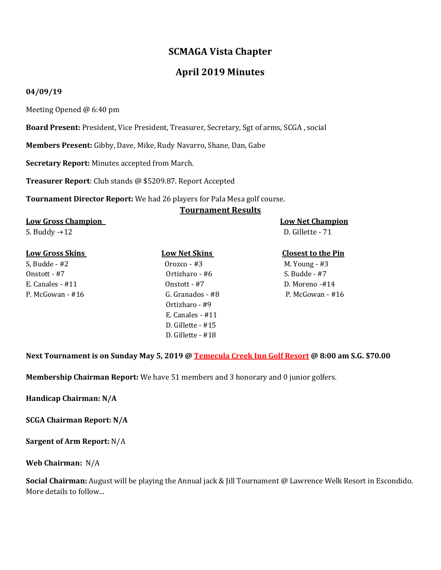# **SCMAGA Vista Chapter**

# **April 2019 Minutes**

## **04/09/19**

Meeting Opened @ 6:40 pm

**Board Present:** President, Vice President, Treasurer, Secretary, Sgt of arms, SCGA , social

**Members Present:** Gibby, Dave, Mike, Rudy Navarro, Shane, Dan, Gabe

**Secretary Report:** Minutes accepted from March.

**Treasurer Report**: Club stands @ \$5209.87. Report Accepted

**Tournament Director Report:** We had 26 players for Pala Mesa golf course.

### **Tournament Results**

## **Low Gross Champion Low Net Champion**

S. Buddy -+12 D. Gillette - 71

### **Low Gross Skins Low Net Skins Closest to the Pin**

S, Budde - #2 Orozco - #3 M. Young - #3 Onstott - #7 Ortizharo - #6 S. Budde - #7 E. Canales - #11 Onstott - #7 D. Moreno -#14 P. McGowan - #16 G. Granados - #8 P. McGowan - #16 Ortizharo - #9 E. Canales - #11 D. Gillette - #15 D. Gillette - #18

**Next Tournament is on Sunday May 5, 2019 @ Temecula Creek Inn Golf Resort @ 8:00 am S.G. \$70.00** 

**Membership Chairman Report:** We have 51 members and 3 honorary and 0 junior golfers.

**Handicap Chairman: N/A**

**SCGA Chairman Report: N/A**

**Sargent of Arm Report:** N/A

### **Web Chairman:** N/A

**Social Chairman:** August will be playing the Annual jack & Jill Tournament @ Lawrence Welk Resort in Escondido. More details to follow...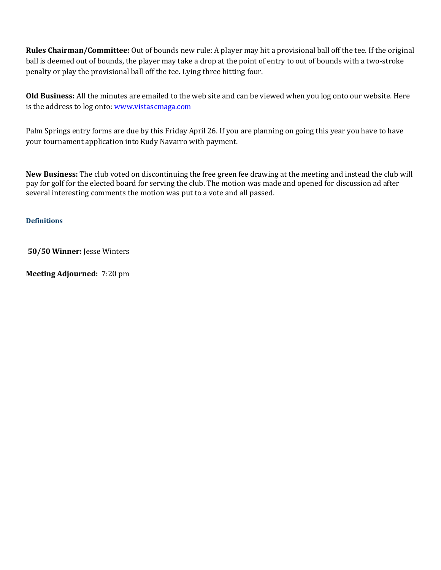**Rules Chairman/Committee:** Out of bounds new rule: A player may hit a provisional ball off the tee. If the original ball is deemed out of bounds, the player may take a drop at the point of entry to out of bounds with a two-stroke penalty or play the provisional ball off the tee. Lying three hitting four.

**Old Business:** All the minutes are emailed to the web site and can be viewed when you log onto our website. Here is the address to log onto[: www.vistascmaga.com](http://www.vistascmaga.com/)

Palm Springs entry forms are due by this Friday April 26. If you are planning on going this year you have to have your tournament application into Rudy Navarro with payment.

**New Business:** The club voted on discontinuing the free green fee drawing at the meeting and instead the club will pay for golf for the elected board for serving the club. The motion was made and opened for discussion ad after several interesting comments the motion was put to a vote and all passed.

# **[Definitions](http://www.usga.org/etc/designs/usga/content/rule-book/rule-book-2016/rule-14253.html)**

**50/50 Winner:** Jesse Winters

**Meeting Adjourned:** 7:20 pm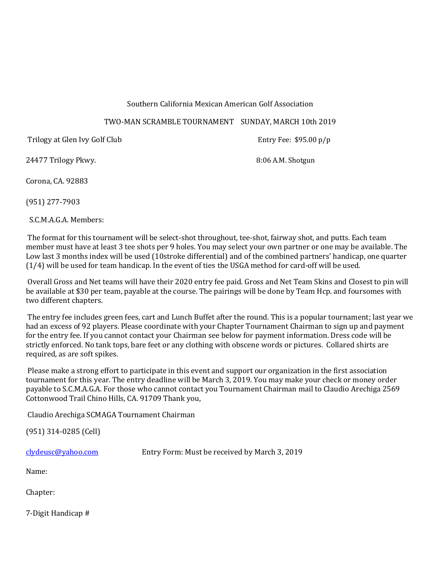# Southern California Mexican American Golf Association

# TWO-MAN SCRAMBLE TOURNAMENT SUNDAY, MARCH 10th 2019

Trilogy at Glen Ivy Golf Club **Entry Fee: \$95.00 p/p** 

24477 Trilogy Pkwy. 24477 Trilogy Pkwy.

Corona, CA. 92883

(951) 277-7903

S.C.M.A.G.A. Members:

The format for this tournament will be select-shot throughout, tee-shot, fairway shot, and putts. Each team member must have at least 3 tee shots per 9 holes. You may select your own partner or one may be available. The Low last 3 months index will be used (10stroke differential) and of the combined partners' handicap, one quarter (1/4) will be used for team handicap. In the event of ties the USGA method for card-off will be used.

Overall Gross and Net teams will have their 2020 entry fee paid. Gross and Net Team Skins and Closest to pin will be available at \$30 per team, payable at the course. The pairings will be done by Team Hcp. and foursomes with two different chapters.

The entry fee includes green fees, cart and Lunch Buffet after the round. This is a popular tournament; last year we had an excess of 92 players. Please coordinate with your Chapter Tournament Chairman to sign up and payment for the entry fee. If you cannot contact your Chairman see below for payment information. Dress code will be strictly enforced. No tank tops, bare feet or any clothing with obscene words or pictures. Collared shirts are required, as are soft spikes.

Please make a strong effort to participate in this event and support our organization in the first association tournament for this year. The entry deadline will be March 3, 2019. You may make your check or money order payable to S.C.M.A.G.A. For those who cannot contact you Tournament Chairman mail to Claudio Arechiga 2569 Cottonwood Trail Chino Hills, CA. 91709 Thank you,

Claudio Arechiga SCMAGA Tournament Chairman

(951) 314-0285 (Cell)

[clydeusc@yahoo.com](mailto:clydeusc@yahoo.com) Entry Form: Must be received by March 3, 2019

Name:

Chapter:

7-Digit Handicap #